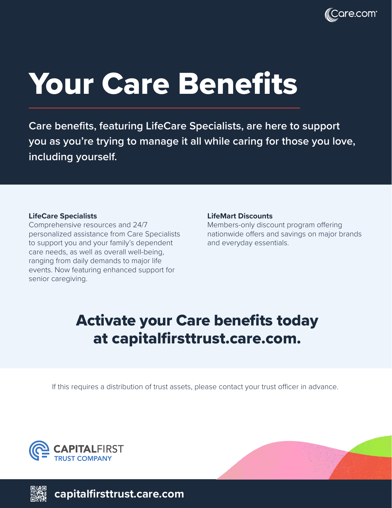

# Your Care Benefits

**Care benefits, featuring LifeCare Specialists, are here to support you as you're trying to manage it all while caring for those you love, including yourself.**

#### **LifeCare Specialists**

Comprehensive resources and 24/7 personalized assistance from Care Specialists to support you and your family's dependent care needs, as well as overall well-being, ranging from daily demands to major life events. Now featuring enhanced support for senior caregiving.

#### **LifeMart Discounts**

Members-only discount program offering nationwide offers and savings on major brands and everyday essentials.

## Activate your Care benefits today at capitalfirsttrust.care.com.

If this requires a distribution of trust assets, please contact your trust officer in advance.